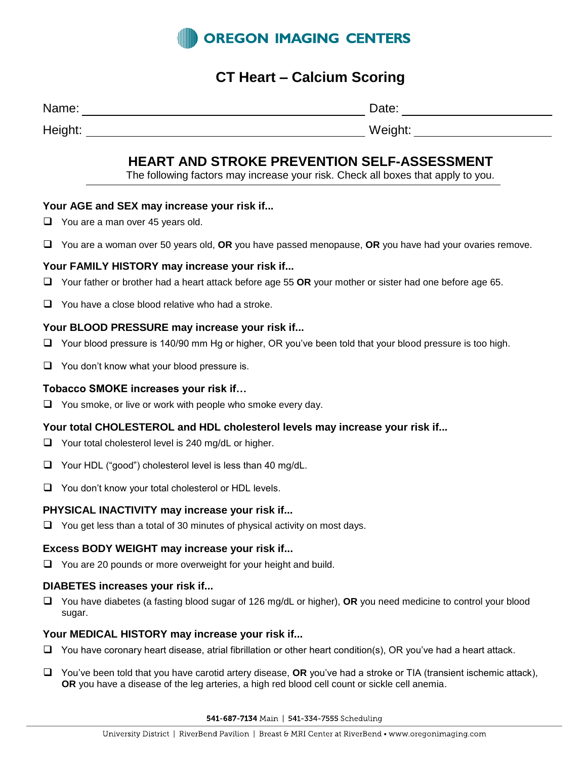

# **CT Heart – Calcium Scoring**

| Name: | этд<br>uw. |
|-------|------------|
| .     | .          |

Height: Weight:

# **HEART AND STROKE PREVENTION SELF-ASSESSMENT**

The following factors may increase your risk. Check all boxes that apply to you.

## **Your AGE and SEX may increase your risk if...**

- □ You are a man over 45 years old.
- You are a woman over 50 years old, **OR** you have passed menopause, **OR** you have had your ovaries remove.

## **Your FAMILY HISTORY may increase your risk if...**

- Your father or brother had a heart attack before age 55 **OR** your mother or sister had one before age 65.
- $\Box$  You have a close blood relative who had a stroke.

#### **Your BLOOD PRESSURE may increase your risk if...**

- $\Box$  Your blood pressure is 140/90 mm Hg or higher, OR you've been told that your blood pressure is too high.
- $\Box$  You don't know what your blood pressure is.

#### **Tobacco SMOKE increases your risk if…**

 $\Box$  You smoke, or live or work with people who smoke every day.

#### **Your total CHOLESTEROL and HDL cholesterol levels may increase your risk if...**

- $\Box$  Your total cholesterol level is 240 mg/dL or higher.
- $\Box$  Your HDL ("good") cholesterol level is less than 40 mg/dL.
- $\Box$  You don't know your total cholesterol or HDL levels.

#### **PHYSICAL INACTIVITY may increase your risk if...**

 $\Box$  You get less than a total of 30 minutes of physical activity on most days.

#### **Excess BODY WEIGHT may increase your risk if...**

□ You are 20 pounds or more overweight for your height and build.

#### **DIABETES increases your risk if...**

 You have diabetes (a fasting blood sugar of 126 mg/dL or higher), **OR** you need medicine to control your blood sugar.

#### **Your MEDICAL HISTORY may increase your risk if...**

- $\Box$  You have coronary heart disease, atrial fibrillation or other heart condition(s), OR you've had a heart attack.
- You've been told that you have carotid artery disease, **OR** you've had a stroke or TIA (transient ischemic attack), **OR** you have a disease of the leg arteries, a high red blood cell count or sickle cell anemia.